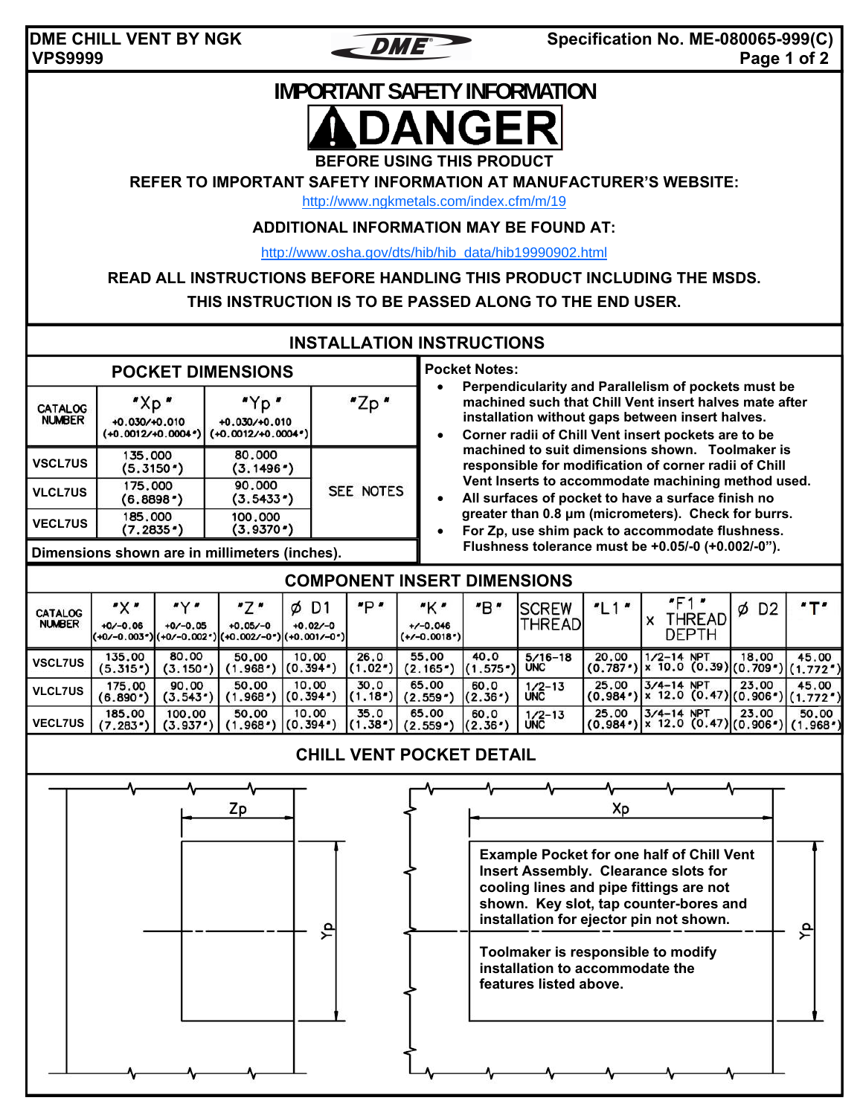| <b>DME CHILL VENT BY NGK</b><br><b>VPS9999</b> |     |
|------------------------------------------------|-----|
|                                                | IME |



 **Specification No. ME-080065-999(C) Page 1 of 2** 

• **Perpendicularity and Parallelism of pockets must be machined such that Chill Vent insert halves mate after installation without gaps between insert halves.** • **Corner radii of Chill Vent insert pockets are to be machined to suit dimensions shown. Toolmaker is responsible for modification of corner radii of Chill Vent Inserts to accommodate machining method used.** • **All surfaces of pocket to have a surface finish no greater than 0.8 μm (micrometers). Check for burrs.** • **For Zp, use shim pack to accommodate flushness.**

## **IMPORTANT SAFETY INFORMATION**



**BEFORE USING THIS PRODUCT** 

**REFER TO IMPORTANT SAFETY INFORMATION AT MANUFACTURER'S WEBSITE:** 

http://www.ngkmetals.com/index.cfm/m/19

## **ADDITIONAL INFORMATION MAY BE FOUND AT:**

http://www.osha.gov/dts/hib/hib\_data/hib19990902.html

**READ ALL INSTRUCTIONS BEFORE HANDLING THIS PRODUCT INCLUDING THE MSDS. THIS INSTRUCTION IS TO BE PASSED ALONG TO THE END USER.** 

**Pocket Notes:** 

## **INSTALLATION INSTRUCTIONS**

| <b>POCKET DIMENSIONS</b>        |                                                |                                      |           |  |  |  |  |  |
|---------------------------------|------------------------------------------------|--------------------------------------|-----------|--|--|--|--|--|
| <b>CATALOG</b><br><b>NUMBER</b> | "Xp<br>$+0.030/+0.010$<br>$(+0.0012/+0.0004")$ | +0.030/+0.010<br>$(+0.0012/+0.0004)$ | "Zr       |  |  |  |  |  |
| <b>VSCL7US</b>                  | 135.000<br>$(5.3150*)$                         | 80,000<br>(3.1496)                   |           |  |  |  |  |  |
| <b>VLCL7US</b>                  | 175.000<br>(6.8898*)                           | 90,000<br>$(3.5433*)$                | SEE NOTES |  |  |  |  |  |
| <b>VECL7US</b>                  | 185.000<br>7.2835)                             | 100.000<br>(3.9370*)                 |           |  |  |  |  |  |
|                                 |                                                |                                      |           |  |  |  |  |  |

**Dimensions shown are in millimeters (inches).** 

## **Flushness tolerance must be +0.05/-0 (+0.002/-0"). COMPONENT INSERT DIMENSIONS**

| COMPONENT<br><b>INSERI</b><br><b>DIMENSIONS</b> |                                  |                                                                        |                   |                       |                            |                                    |                 |                               |                  |                                                        |                           |                                |
|-------------------------------------------------|----------------------------------|------------------------------------------------------------------------|-------------------|-----------------------|----------------------------|------------------------------------|-----------------|-------------------------------|------------------|--------------------------------------------------------|---------------------------|--------------------------------|
| <b>CATALOG</b><br><b>NUMBER</b>                 | ۰χ۰<br>$+0/-0.06$                | '<br>$+0/-0.05$<br>(+0/-0.003*) (+0/-0.002*) (+0.002/-0*) (+0.001/-0*) | "7"<br>$+0.05/-0$ | D1<br>ø<br>$+0.02/-0$ | "D"                        | "K"<br>$+/-0.046$<br>$(+/-0.0018)$ | "B"             | <b>SCREW</b><br><b>THREAD</b> | "1"              | $F \Gamma$<br>THREAD<br>v<br><b>DEPTH</b>              | D <sub>2</sub><br>ø       | "T"                            |
| <b>VSCL7US</b>                                  | 135.00<br>(5.315*)               | 80.00<br>(3.150)                                                       | 50.00<br>$.968*$  | 10.00<br>(0.394)      | 26.0<br>$(1.02^{\bullet})$ | 55.00<br>(2.165)                   | 40.0<br>(1.575) | $5/16 - 18$<br><b>UNC</b>     | 20,00<br>(0.787) | $1/2 - 14$ NPT<br>$\vert x \vert$ 10.0 (0.39) (0.709*) | 18.00                     | 45.00<br>') (1.772*)           |
| <b>VLCL7US</b>                                  | 175.00<br>$(6.890*)$             | 90.00<br>(3.543*)                                                      | 50,00<br>(1.968)  | 10.00<br>(0.394)      | 30.0<br>(1.18)             | 65.00<br>(2.559)                   | 60.0<br>(2.36)  | $1/2 - 13$<br><b>UNC</b>      | 25.00<br>(0.984) | $3/4 - 14$ NPT<br>x 12.0                               | 23.00<br>$(0.47)(0.906*)$ | 45.00<br>(1.772 <sup>2</sup> ) |
| <b>VECL7US</b>                                  | 185.00<br>$(7.283)$ <sup>*</sup> | 100.00<br>(3.937)                                                      | 50,00<br>.968''   | 10.00<br>(0.394)      | 35.0<br>$.38$ *)           | 65.00<br>(2.559)                   | 60.0<br>(2.36)  | $1/2 - 13$<br><b>UNC</b>      | 25.00<br>(0.984) | 3/4-14 NPT<br>x 12.0                                   | 23.00<br>(0.47)(0.906')   | 50.00<br>$(1.968*)$            |